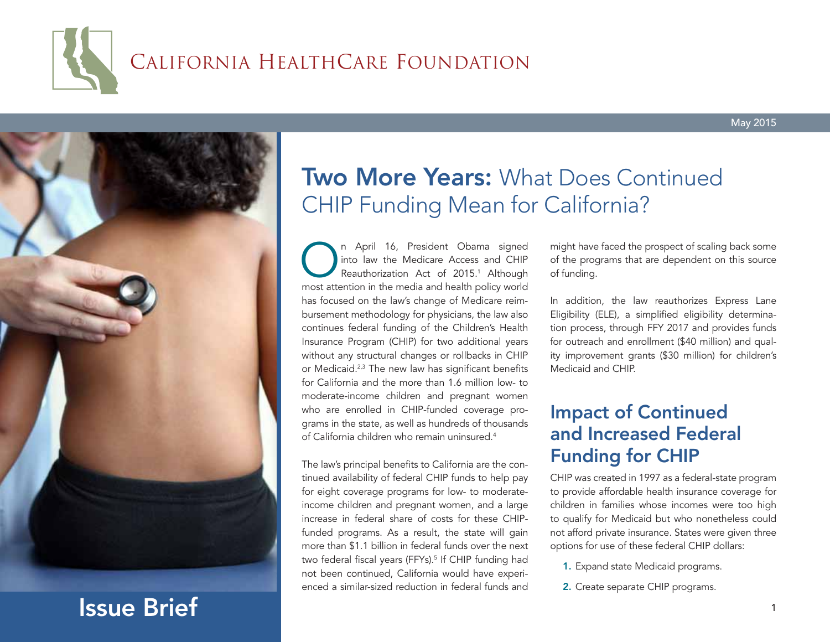# CALIFORNIA HEALTHCARE FOUNDATION



# Issue Brief

## **Two More Years: What Does Continued** CHIP Funding Mean for California?

On April 16, President Obama signed<br>
into law the Medicare Access and CHIP<br>
Reauthorization Act of 2015.<sup>1</sup> Although<br>
most attention in the media and health policy world into law the Medicare Access and CHIP Reauthorization Act of 2015.<sup>1</sup> Although most attention in the media and health policy world has focused on the law's change of Medicare reimbursement methodology for physicians, the law also continues federal funding of the Children's Health Insurance Program (CHIP) for two additional years without any structural changes or rollbacks in CHIP or Medicaid.<sup>2,3</sup> The new law has significant benefits for California and the more than 1.6 million low- to moderate-income children and pregnant women who are enrolled in CHIP-funded coverage programs in the state, as well as hundreds of thousands of California children who remain uninsured.4

The law's principal benefits to California are the continued availability of federal CHIP funds to help pay for eight coverage programs for low- to moderateincome children and pregnant women, and a large increase in federal share of costs for these CHIPfunded programs. As a result, the state will gain more than \$1.1 billion in federal funds over the next two federal fiscal years (FFYs).<sup>5</sup> If CHIP funding had not been continued, California would have experienced a similar-sized reduction in federal funds and

might have faced the prospect of scaling back some of the programs that are dependent on this source of funding.

In addition, the law reauthorizes Express Lane Eligibility (ELE), a simplified eligibility determination process, through FFY 2017 and provides funds for outreach and enrollment (\$40 million) and quality improvement grants (\$30 million) for children's Medicaid and CHIP.

## Impact of Continued and Increased Federal Funding for CHIP

CHIP was created in 1997 as a federal-state program to provide affordable health insurance coverage for children in families whose incomes were too high to qualify for Medicaid but who nonetheless could not afford private insurance. States were given three options for use of these federal CHIP dollars:

- 1. Expand state Medicaid programs.
- 2. Create separate CHIP programs.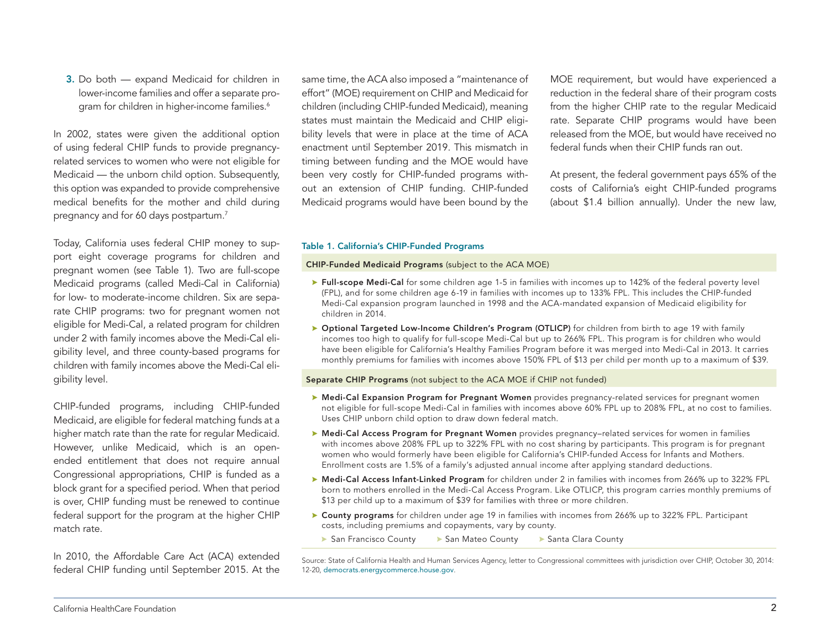California HealthCare Foundation 2

3. Do both — expand Medicaid for children in lower-income families and offer a separate program for children in higher-income families.<sup>6</sup>

In 2002, states were given the additional option of using federal CHIP funds to provide pregnancyrelated services to women who were not eligible for Medicaid — the unborn child option. Subsequently, this option was expanded to provide comprehensive medical benefits for the mother and child during pregnancy and for 60 days postpartum.7

Today, California uses federal CHIP money to support eight coverage programs for children and pregnant women (see Table 1). Two are full-scope Medicaid programs (called Medi-Cal in California) for low- to moderate-income children. Six are separate CHIP programs: two for pregnant women not eligible for Medi-Cal, a related program for children under 2 with family incomes above the Medi-Cal eligibility level, and three county-based programs for children with family incomes above the Medi-Cal eligibility level.

CHIP-funded programs, including CHIP-funded Medicaid, are eligible for federal matching funds at a higher match rate than the rate for regular Medicaid. However, unlike Medicaid, which is an openended entitlement that does not require annual Congressional appropriations, CHIP is funded as a block grant for a specified period. When that period is over, CHIP funding must be renewed to continue federal support for the program at the higher CHIP match rate.

In 2010, the Affordable Care Act (ACA) extended federal CHIP funding until September 2015. At the

same time, the ACA also imposed a "maintenance of effort" (MOE) requirement on CHIP and Medicaid for children (including CHIP-funded Medicaid), meaning states must maintain the Medicaid and CHIP eligibility levels that were in place at the time of ACA enactment until September 2019. This mismatch in timing between funding and the MOE would have been very costly for CHIP-funded programs without an extension of CHIP funding. CHIP-funded Medicaid programs would have been bound by the

MOE requirement, but would have experienced a reduction in the federal share of their program costs from the higher CHIP rate to the regular Medicaid rate. Separate CHIP programs would have been released from the MOE, but would have received no federal funds when their CHIP funds ran out.

At present, the federal government pays 65% of the costs of California's eight CHIP-funded programs (about \$1.4 billion annually). Under the new law,

#### Table 1. California's CHIP-Funded Programs

#### CHIP-Funded Medicaid Programs (subject to the ACA MOE)

- **Eull-scope Medi-Cal** for some children age 1-5 in families with incomes up to 142% of the federal poverty level (FPL), and for some children age 6-19 in families with incomes up to 133% FPL. This includes the CHIP-funded Medi-Cal expansion program launched in 1998 and the ACA-mandated expansion of Medicaid eligibility for children in 2014.
- ▶ Optional Targeted Low-Income Children's Program (OTLICP) for children from birth to age 19 with family incomes too high to qualify for full-scope Medi-Cal but up to 266% FPL. This program is for children who would have been eligible for California's Healthy Families Program before it was merged into Medi-Cal in 2013. It carries monthly premiums for families with incomes above 150% FPL of \$13 per child per month up to a maximum of \$39.

#### Separate CHIP Programs (not subject to the ACA MOE if CHIP not funded)

- ▶ Medi-Cal Expansion Program for Pregnant Women provides pregnancy-related services for pregnant women not eligible for full-scope Medi-Cal in families with incomes above 60% FPL up to 208% FPL, at no cost to families. Uses CHIP unborn child option to draw down federal match.
- ▶ Medi-Cal Access Program for Pregnant Women provides pregnancy-related services for women in families with incomes above 208% FPL up to 322% FPL with no cost sharing by participants. This program is for pregnant women who would formerly have been eligible for California's CHIP-funded Access for Infants and Mothers. Enrollment costs are 1.5% of a family's adjusted annual income after applying standard deductions.
- ▶ Medi-Cal Access Infant-Linked Program for children under 2 in families with incomes from 266% up to 322% FPL born to mothers enrolled in the Medi-Cal Access Program. Like OTLICP, this program carries monthly premiums of \$13 per child up to a maximum of \$39 for families with three or more children.
- ▶ County programs for children under age 19 in families with incomes from 266% up to 322% FPL. Participant costs, including premiums and copayments, vary by county.
- San Francisco County San Mateo County Santa Clara County

Source: State of California Health and Human Services Agency, letter to Congressional committees with jurisdiction over CHIP, October 30, 2014: 12-20, [democrats.energycommerce.house.gov](http://democrats.energycommerce.house.gov/sites/default/files/documents/Combined-States-CHIP-Response-2014-11-6.pdf).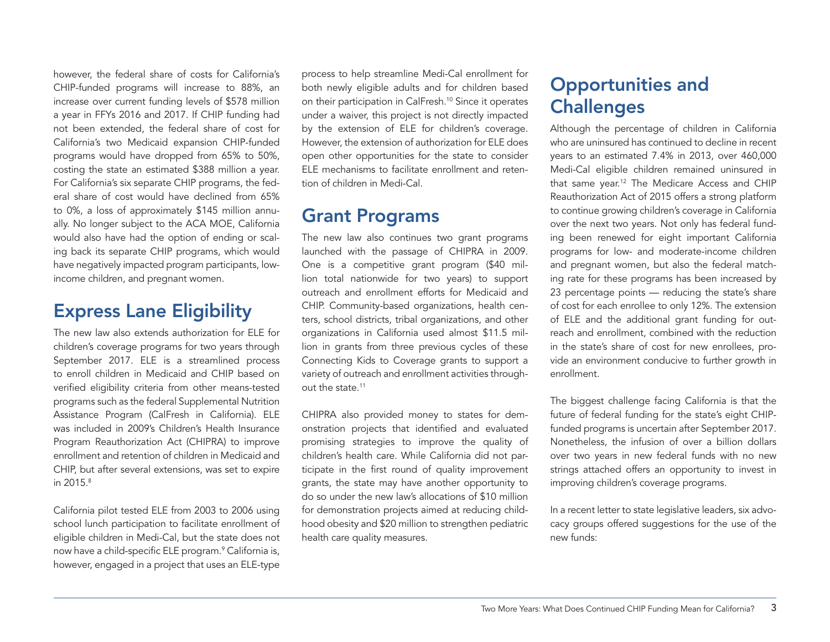however, the federal share of costs for California's CHIP-funded programs will increase to 88%, an increase over current funding levels of \$578 million a year in FFYs 2016 and 2017. If CHIP funding had not been extended, the federal share of cost for California's two Medicaid expansion CHIP-funded programs would have dropped from 65% to 50%, costing the state an estimated \$388 million a year. For California's six separate CHIP programs, the federal share of cost would have declined from 65% to 0%, a loss of approximately \$145 million annually. No longer subject to the ACA MOE, California would also have had the option of ending or scaling back its separate CHIP programs, which would have negatively impacted program participants, lowincome children, and pregnant women.

## Express Lane Eligibility

The new law also extends authorization for ELE for children's coverage programs for two years through September 2017. ELE is a streamlined process to enroll children in Medicaid and CHIP based on verified eligibility criteria from other means-tested programs such as the federal Supplemental Nutrition Assistance Program (CalFresh in California). ELE was included in 2009's Children's Health Insurance Program Reauthorization Act (CHIPRA) to improve enrollment and retention of children in Medicaid and CHIP, but after several extensions, was set to expire in 2015.8

California pilot tested ELE from 2003 to 2006 using school lunch participation to facilitate enrollment of eligible children in Medi-Cal, but the state does not now have a child-specific ELE program.<sup>9</sup> California is, however, engaged in a project that uses an ELE-type

process to help streamline Medi-Cal enrollment for both newly eligible adults and for children based on their participation in CalFresh.10 Since it operates under a waiver, this project is not directly impacted by the extension of ELE for children's coverage. However, the extension of authorization for ELE does open other opportunities for the state to consider ELE mechanisms to facilitate enrollment and retention of children in Medi-Cal.

## Grant Programs

The new law also continues two grant programs launched with the passage of CHIPRA in 2009. One is a competitive grant program (\$40 million total nationwide for two years) to support outreach and enrollment efforts for Medicaid and CHIP. Community-based organizations, health centers, school districts, tribal organizations, and other organizations in California used almost \$11.5 million in grants from three previous cycles of these Connecting Kids to Coverage grants to support a variety of outreach and enrollment activities throughout the state.<sup>11</sup>

CHIPRA also provided money to states for demonstration projects that identified and evaluated promising strategies to improve the quality of children's health care. While California did not participate in the first round of quality improvement grants, the state may have another opportunity to do so under the new law's allocations of \$10 million for demonstration projects aimed at reducing childhood obesity and \$20 million to strengthen pediatric health care quality measures.

## Opportunities and **Challenges**

Although the percentage of children in California who are uninsured has continued to decline in recent years to an estimated 7.4% in 2013, over 460,000 Medi-Cal eligible children remained uninsured in that same year.12 The Medicare Access and CHIP Reauthorization Act of 2015 offers a strong platform to continue growing children's coverage in California over the next two years. Not only has federal funding been renewed for eight important California programs for low- and moderate-income children and pregnant women, but also the federal matching rate for these programs has been increased by 23 percentage points — reducing the state's share of cost for each enrollee to only 12%. The extension of ELE and the additional grant funding for outreach and enrollment, combined with the reduction in the state's share of cost for new enrollees, provide an environment conducive to further growth in enrollment.

The biggest challenge facing California is that the future of federal funding for the state's eight CHIPfunded programs is uncertain after September 2017. Nonetheless, the infusion of over a billion dollars over two years in new federal funds with no new strings attached offers an opportunity to invest in improving children's coverage programs.

In a recent letter to state legislative leaders, six advocacy groups offered suggestions for the use of the new funds: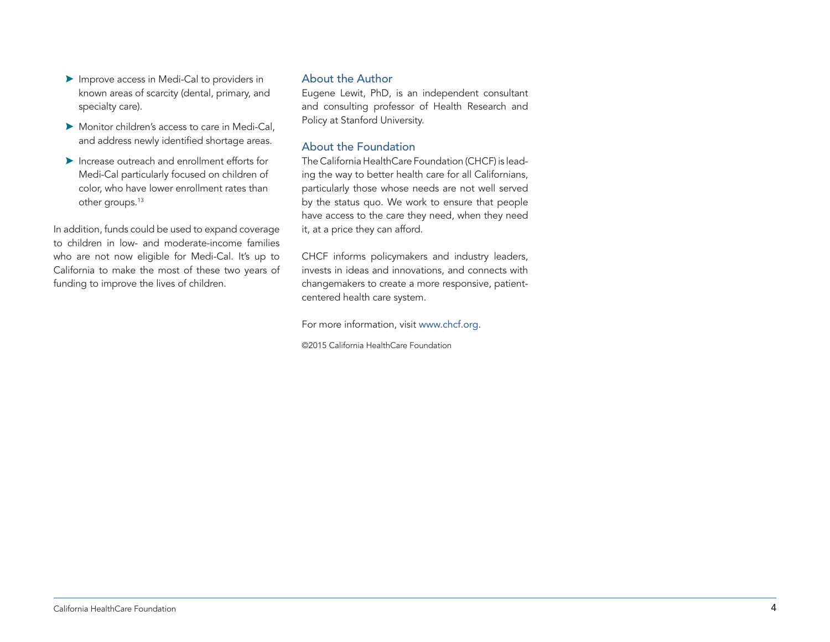- A Improve access in Medi-Cal to providers in known areas of scarcity (dental, primary, and specialty care).
- $\blacktriangleright$  Monitor children's access to care in Medi-Cal, and address newly identified shortage areas.
- $\blacktriangleright$  Increase outreach and enrollment efforts for Medi-Cal particularly focused on children of color, who have lower enrollment rates than other groups.<sup>13</sup>

In addition, funds could be used to expand coverage to children in low- and moderate-income families who are not now eligible for Medi-Cal. It's up to California to make the most of these two years of funding to improve the lives of children.

#### About the Author

Eugene Lewit, PhD, is an independent consultant and consulting professor of Health Research and Policy at Stanford University.

## About the Foundation

The California HealthCare Foundation (CHCF) is leading the way to better health care for all Californians, particularly those whose needs are not well served by the status quo. We work to ensure that people have access to the care they need, when they need it, at a price they can afford.

CHCF informs policymakers and industry leaders, invests in ideas and innovations, and connects with changemakers to create a more responsive, patientcentered health care system.

For more information, visit [www.chcf.org](http://www.chcf.org).

©2015 California HealthCare Foundation